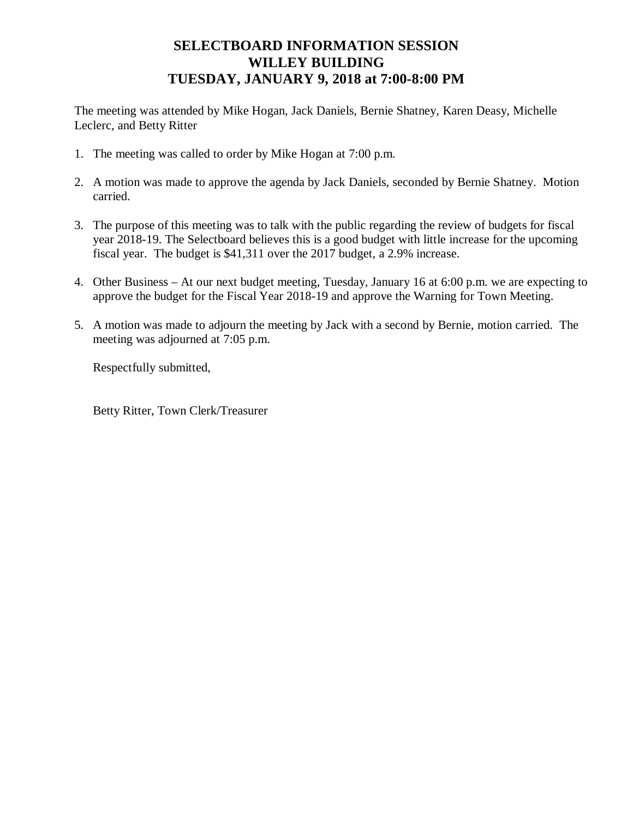## **SELECTBOARD INFORMATION SESSION WILLEY BUILDING TUESDAY, JANUARY 9, 2018 at 7:00-8:00 PM**

The meeting was attended by Mike Hogan, Jack Daniels, Bernie Shatney, Karen Deasy, Michelle Leclerc, and Betty Ritter

- 1. The meeting was called to order by Mike Hogan at 7:00 p.m.
- 2. A motion was made to approve the agenda by Jack Daniels, seconded by Bernie Shatney. Motion carried.
- 3. The purpose of this meeting was to talk with the public regarding the review of budgets for fiscal year 2018-19. The Selectboard believes this is a good budget with little increase for the upcoming fiscal year. The budget is \$41,311 over the 2017 budget, a 2.9% increase.
- 4. Other Business At our next budget meeting, Tuesday, January 16 at 6:00 p.m. we are expecting to approve the budget for the Fiscal Year 2018-19 and approve the Warning for Town Meeting.
- 5. A motion was made to adjourn the meeting by Jack with a second by Bernie, motion carried. The meeting was adjourned at 7:05 p.m.

Respectfully submitted,

Betty Ritter, Town Clerk/Treasurer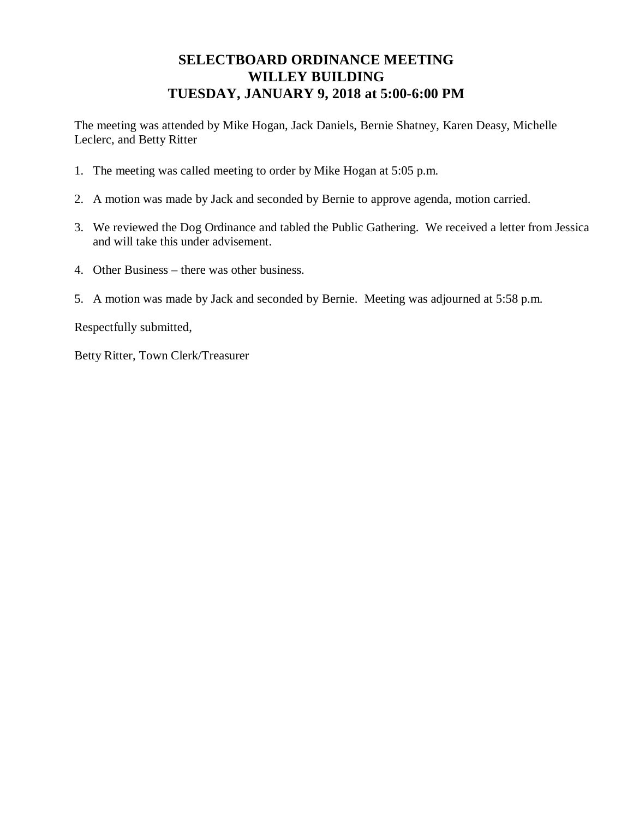## **SELECTBOARD ORDINANCE MEETING WILLEY BUILDING TUESDAY, JANUARY 9, 2018 at 5:00-6:00 PM**

The meeting was attended by Mike Hogan, Jack Daniels, Bernie Shatney, Karen Deasy, Michelle Leclerc, and Betty Ritter

- 1. The meeting was called meeting to order by Mike Hogan at 5:05 p.m.
- 2. A motion was made by Jack and seconded by Bernie to approve agenda, motion carried.
- 3. We reviewed the Dog Ordinance and tabled the Public Gathering. We received a letter from Jessica and will take this under advisement.
- 4. Other Business there was other business.
- 5. A motion was made by Jack and seconded by Bernie. Meeting was adjourned at 5:58 p.m.

Respectfully submitted,

Betty Ritter, Town Clerk/Treasurer